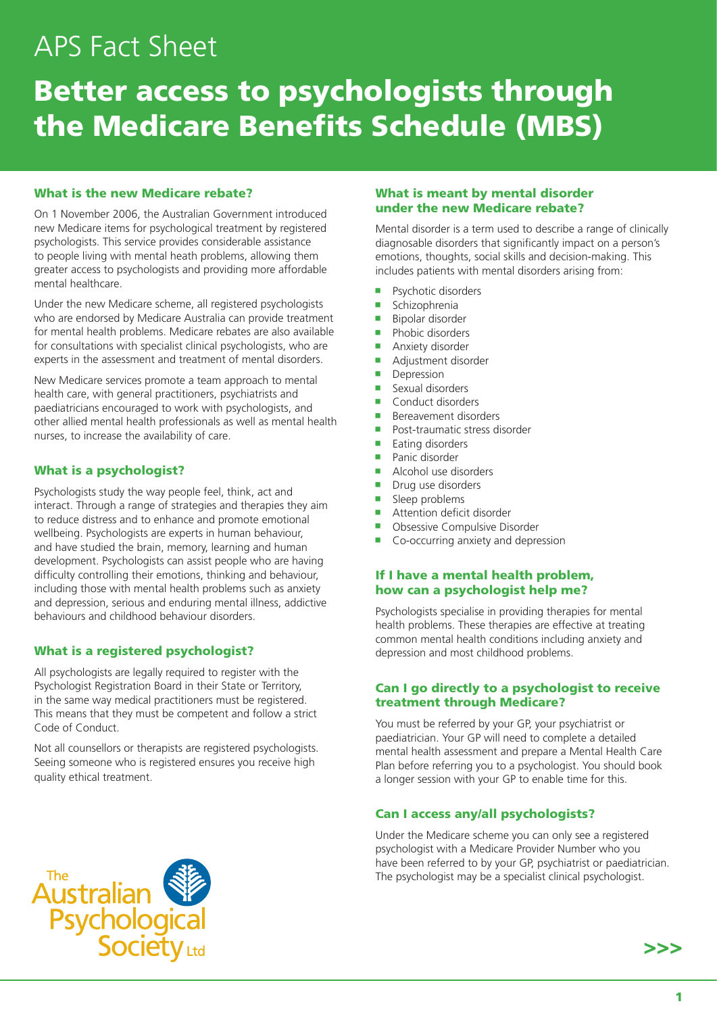# APS Fact Sheet

# Better access to psychologists through the Medicare Benefits Schedule (MBS)

### What is the new Medicare rebate?

On 1 November 2006, the Australian Government introduced new Medicare items for psychological treatment by registered psychologists. This service provides considerable assistance to people living with mental heath problems, allowing them greater access to psychologists and providing more affordable mental healthcare.

Under the new Medicare scheme, all registered psychologists who are endorsed by Medicare Australia can provide treatment for mental health problems. Medicare rebates are also available for consultations with specialist clinical psychologists, who are experts in the assessment and treatment of mental disorders.

New Medicare services promote a team approach to mental health care, with general practitioners, psychiatrists and paediatricians encouraged to work with psychologists, and other allied mental health professionals as well as mental health nurses, to increase the availability of care.

### What is a psychologist?

Psychologists study the way people feel, think, act and interact. Through a range of strategies and therapies they aim to reduce distress and to enhance and promote emotional wellbeing. Psychologists are experts in human behaviour, and have studied the brain, memory, learning and human development. Psychologists can assist people who are having difficulty controlling their emotions, thinking and behaviour, including those with mental health problems such as anxiety and depression, serious and enduring mental illness, addictive behaviours and childhood behaviour disorders.

### What is a registered psychologist?

All psychologists are legally required to register with the Psychologist Registration Board in their State or Territory, in the same way medical practitioners must be registered. This means that they must be competent and follow a strict Code of Conduct.

Not all counsellors or therapists are registered psychologists. Seeing someone who is registered ensures you receive high quality ethical treatment.

### What is meant by mental disorder under the new Medicare rebate?

Mental disorder is a term used to describe a range of clinically diagnosable disorders that significantly impact on a person's emotions, thoughts, social skills and decision-making. This includes patients with mental disorders arising from:

- Psychotic disorders
- $Schizon$
- $\blacksquare$  Bipolar disorder
- $\blacksquare$  Phobic disorders
- **Anxiety disorder**
- **Adjustment disorder**
- Depression
- Sexual disorders
- $\blacksquare$  Conduct disorders
- $\blacksquare$  Bereavement disorders
- $\blacksquare$  Post-traumatic stress disorder
- $\blacksquare$  Eating disorders
- Panic disorder
- <sup>g</sup> Alcohol use disorders
- $\blacksquare$  Drug use disorders
- $\blacksquare$  Sleep problems
- $\blacksquare$  Attention deficit disorder
- **Disessive Compulsive Disorder**
- Co-occurring anxiety and depression

## If I have a mental health problem, how can a psychologist help me?

Psychologists specialise in providing therapies for mental health problems. These therapies are effective at treating common mental health conditions including anxiety and depression and most childhood problems.

### Can I go directly to a psychologist to receive treatment through Medicare?

You must be referred by your GP, your psychiatrist or paediatrician. Your GP will need to complete a detailed mental health assessment and prepare a Mental Health Care Plan before referring you to a psychologist. You should book a longer session with your GP to enable time for this.

#### Can I access any/all psychologists?

Under the Medicare scheme you can only see a registered psychologist with a Medicare Provider Number who you have been referred to by your GP, psychiatrist or paediatrician. The psychologist may be a specialist clinical psychologist.



>>>